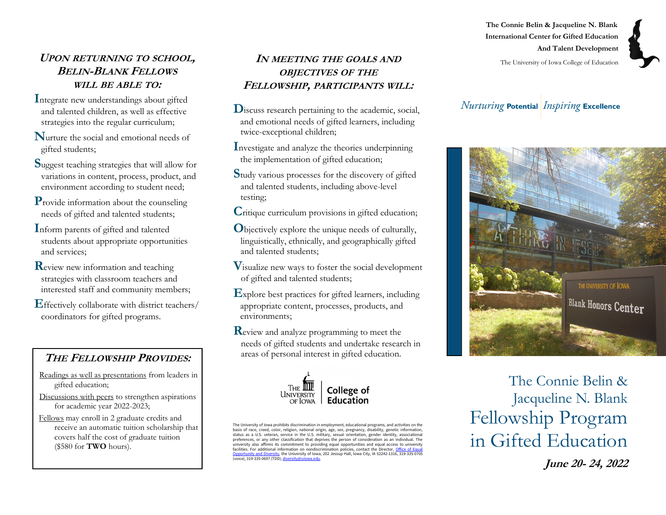# **UPON RETURNING TO SCHOOL, BELIN-BLANK FELLOWS WILL BE ABLE TO:**

- **I**ntegrate new understandings about gifted and talented children, as well as effective strategies into the regular curriculum;
- **N**urture the social and emotional needs of gifted students;
- **S**uggest teaching strategies that will allow for variations in content, process, product, and environment according to student need;
- **P**rovide information about the counseling needs of gifted and talented students;
- **I**nform parents of gifted and talented students about appropriate opportunities and services;
- **R**eview new information and teaching strategies with classroom teachers and interested staff and community members;
- **E**ffectively collaborate with district teachers/ coordinators for gifted programs.

# **THE FELLOWSHIP PROVIDES:**

- Readings as well as presentations from leaders in gifted education;
- Discussions with peers to strengthen aspirations for academic year 2022-2023;
- Fellows may enroll in 2 graduate credits and receive an automatic tuition scholarship that covers half the cost of graduate tuition (\$580 for **TWO** hours).

#### **IN MEETING THE GOALS AND OBJECTIVES OF THE FELLOWSHIP, PARTICIPANTS WILL:**

- **D**iscuss research pertaining to the academic, social, and emotional needs of gifted learners, including twice-exceptional children;
- **I**nvestigate and analyze the theories underpinning the implementation of gifted education;
- **S**tudy various processes for the discovery of gifted and talented students, including above-level testing;
- **C**ritique curriculum provisions in gifted education;
- **O**bjectively explore the unique needs of culturally, linguistically, ethnically, and geographically gifted and talented students;
- **V**isualize new ways to foster the social development of gifted and talented students;
- **E**xplore best practices for gifted learners, including appropriate content, processes, products, and environments;

**R**eview and analyze programming to meet the needs of gifted students and undertake research in areas of personal interest in gifted education.



The University of Iowa prohibits discrimination in employment, educational programs, and activities on the basis of race, creed, color, religion, national origin, age, sex, pregnancy, disability, genetic information,<br>status as a U.S. veteran, service in the U.S. military, sexual orientation, gender identity, associational<br>prefe university also affirms its commitment to providing equal opportunities and equal access to university facilities. For additional information on nondiscrimination policies, contact the Director, **Office of Equa** [Opportunity and Diversity,](https://diversity.uiowa.edu/office/equal-opportunity-and-diversity) the University of Iowa, 202 Jessup Hall, Iowa City, IA 52242-1316, 319-335-0705 (voice), 319-335-0697 (TDD), [diversity@uiowa.edu.](mailto:diversity@uiowa.edu)

**The Connie Belin & Jacqueline N. Blank International Center for Gifted Education And Talent Development**

The University of Iowa College of Education

# **Nurturing Potential Inspiring Excellence**



The Connie Belin & Jacqueline N. Blank Fellowship Program in Gifted Education

**June 20- 24, 2022**